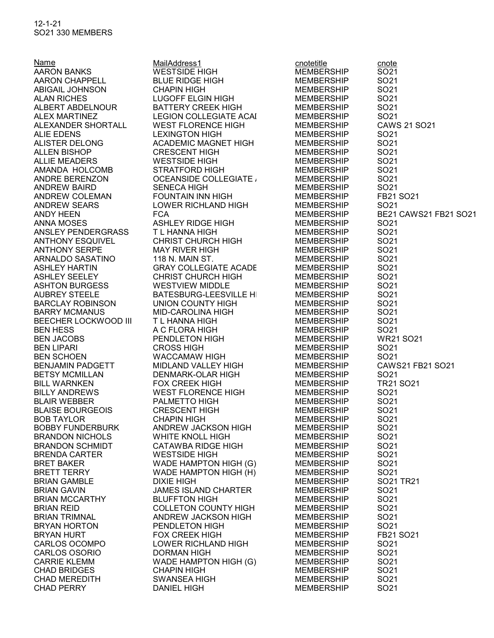12-1-21 SO21 330 MEMBERS

AARON BANKS WESTSIDE HIGH **CHAD BRIDGES** CHAD MEREDITH SWANSEA HIGH MEMBERSHIP SO21

Name MailAddress1 cnotetitle cnote<br>
AARON BANKS WESTSIDE HIGH MEMBERSHIP SO21 AARON CHAPPELL BLUE RIDGE HIGH MEMBERSHIP SO21 ABIGAIL JOHNSON CHAPIN HIGH MEMBERSHIP SO21 ALAN RICHES LUGOFF ELGIN HIGH MEMBERSHIP ALBERT ABDELNOUR BATTERY CREEK HIGH MEMBERSHIP SO21 ALEX MARTINEZ LEGION COLLEGIATE ACAI MEMBERSHIP SO21 ALIE EDENS LEXINGTON HIGH MEMBERSHIP SO21 ALISTER DELONG ACADEMIC MAGNET HIGH MEMBERSHIP SO21 ALLEN BISHOP **CRESCENT HIGH** MEMBERSHIP ALLIE MEADERS **WESTSIDE HIGH** MEMBERSHIP SO21 AMANDA HOLCOMB STRATFORD HIGH MEMBERSHIP SO21 ANDRE BERENZON OCEANSIDE COLLEGIATE ACADEMYMEMBERSHIP SO21 FOUNTAIN INN HIGH MEMBERSHIP ANDREW SEARS LOWER RICHLAND HIGH MEMBERSHIP SO21 ANNA MOSES ASHLEY RIDGE HIGH MEMBERSHIP SO21 ANSLEY PENDERGRASS T L HANNA HIGH MEMBERSHIP SO21 ANTHONY ESQUIVEL CHRIST CHURCH HIGH MEMBERSHIP ANTHONY SERPE MAY RIVER HIGH MEMBERSHIP SO21 ARNALDO SASATINO 118 N. MAIN ST. MEMBERSHIP SO21 ASHLEY HARTIN GRAY COLLEGIATE ACADE MEMBERSHIP SO21 ASHLEY SEELEY CHRIST CHURCH HIGH MEMBERSHIP SO21 ASHTON BURGESS WESTVIEW MIDDLE MEMBERSHIP SO21 AUBREY STEELE BATESBURG-LEESVILLE HIGH MEMBERSHIP BARCLAY ROBINSON UNION COUNTY HIGH MEMBERSHIP SO21 BARRY MCMANUS MID-CAROLINA HIGH MEMBERSHIP SO21 BEECHER LOCKWOOD III T L HANNA HIGH MEMBERSHIP SO21 BEN HESS A C FLORA HIGH MEMBERSHIP SO21 BEN LIPARI CROSS HIGH MEMBERSHIP SO21 BEN SCHOEN WACCAMAW HIGH MEMBERSHIP SO21 BETSY MCMILLAN DENMARK-OLAR HIGH MEMBERSHIP SO21 BILLY ANDREWS WEST FLORENCE HIGH MEMBERSHIP SO21 BLAIR WEBBER PALMETTO HIGH MEMBERSHIP SO21 BLAISE BOURGEOIS CRESCENT HIGH MEMBERSHIP SO21 BOB TAYLOR CHAPIN HIGH MEMBERSHIP SO21 BOBBY FUNDERBURK ANDREW JACKSON HIGH MEMBERSHIP SO21 BRANDON NICHOLS WHITE KNOLL HIGH MEMBERSHIP SO21 BRANDON SCHMIDT CATAWBA RIDGE HIGH MEMBERSHIP SO21 BRENDA CARTER WESTSIDE HIGH MEMBERSHIP SO21 BRET BAKER WADE HAMPTON HIGH (G) MEMBERSHIP SO21 BRETT TERRY **WADE HAMPTON HIGH (H)** MEMBERSHIP SO21 JAMES ISLAND CHARTER MEMBERSHIP SO21 BRIAN MCCARTHY BLUFFTON HIGH MEMBERSHIP SO21 BRIAN REID **COLLETON COUNTY HIGH** MEMBERSHIP SO21 BRIAN TRIMNAL ANDREW JACKSON HIGH MEMBERSHIP SO21 BRYAN HORTON PENDLETON HIGH MEMBERSHIP SO21 CARLOS OCOMPO LOWER RICHLAND HIGH MEMBERSHIP SO21 CARLOS OSORIO DORMAN HIGH MEMBERSHIP SO21 WADE HAMPTON HIGH (G) MEMBERSHIP SO21<br>CHAPIN HIGH MEMBERSHIP SO21

ALEXANDER SHORTALL WEST FLORENCE HIGH MEMBERSHIP CAWS 21 SO21 ANDREW BAIRD SENECA HIGH MEMBERSHIP SO21 ANDY HEEN FCA MEMBERSHIP BE21 CAWS21 FB21 SO21 BEN JACOBS PENDLETON HIGH MEMBERSHIP WR21 SO21 BENJAMIN PADGETT MIDLAND VALLEY HIGH MEMBERSHIP CAWS21 FB21 SO21 BILL WARNKEN FOX CREEK HIGH MEMBERSHIP TR21 SO21 BRIAN GAMBLE DIXIE HIGH MEMBERSHIP SO21 TR21 FOX CREEK HIGH MEMBERSHIP FB21 SO21 DANIEL HIGH MEMBERSHIP SO21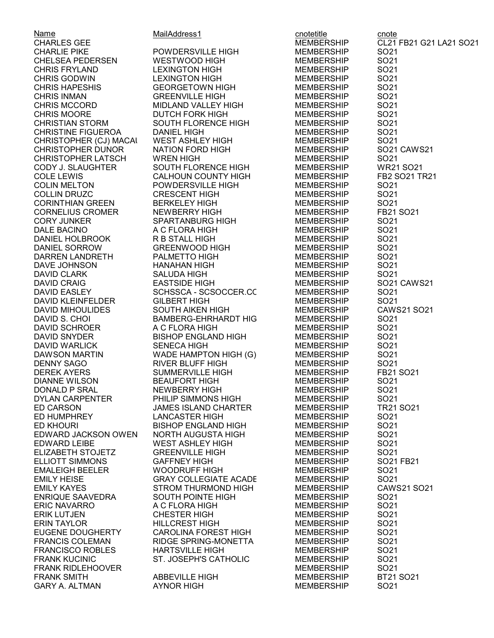Name **MailAddress1** cnotetitle cnote CHARLIE PIKE **POWDERSVILLE HIGH** MEMBERSHIP SO21 CHELSEA PEDERSEN WESTWOOD HIGH MEMBERSHIP SO21 CHRIS FRYLAND LEXINGTON HIGH MEMBERSHIP SO21 CHRIS GODWIN LEXINGTON HIGH MEMBERSHIP SO21 CHRIS HAPESHIS GEORGETOWN HIGH MEMBERSHIP SO21 CHRIS INMAN GREENVILLE HIGH MEMBERSHIP SO21 CHRIS MOORE **DUTCH FORK HIGH** MEMBERSHIP CHRISTIAN STORM SOUTH FLORENCE HIGH MEMBERSHIP SO21 CHRISTINE FIGUEROA DANIEL HIGH MEMBERSHIP SO21 CHRISTOPHER (CJ) MACAI CHRISTOPHER LATSCH WREN HIGH COLIN MELTON POWDERSVILLE HIGH MEMBERSHIP SO21 CORINTHIAN GREEN BERKELEY HIGH MEMBERSHIP SO21 CORNELIUS CROMER NEWBERRY HIGH MEMBERSHIP CORY JUNKER SPARTANBURG HIGH MEMBERSHIP SO21 DANIEL HOLBROOK R B STALL HIGH MEMBERSHIP DANIEL SORROW GREENWOOD HIGH MEMBERSHIP SO21 DARREN LANDRETH PALMETTO HIGH MEMBERSHIP DAVE JOHNSON HANAHAN HIGH MEMBERSHIP SO21 DAVID CLARK SALUDA HIGH MEMBERSHIP SO21 DAVID KLEINFELDER GILBERT HIGH GILBERT MEMBERSHIP DAVID S. CHOI BAMBERG-EHRHARDT HIGH MEMBERSHIP SO21 DAVID SCHROER A C FLORA HIGH MEMBERSHIP SO21 DAVID WARLICK DAWSON MARTIN WADE HAMPTON HIGH (G) MEMBERSHIP SO21 DENNY SAGO RIVER BLUFF HIGH MEMBERSHIP SO21 DEREK AYERS GUMMERVILLE HIGH MEMBERSHIP DIANNE WILSON BEAUFORT HIGH MEMBERSHIP SO21 DONALD P SRAL NEWBERRY HIGH MEMBERSHIP SO21 ED CARSON JAMES ISLAND CHARTER MEMBERSHIP TR21 SO21 ED HUMPHREY LANCASTER HIGH MEMBERSHIP SO21 ED KHOURI BISHOP ENGLAND HIGH MEMBERSHIP SO21 EDWARD JACKSON OWENS NORTH AUGUSTA HIGH MEMBERSHIP SO21 EDWARD LEIBE WEST ASHLEY HIGH MEMBERSHIP ELIZABETH STOJETZ GREENVILLE HIGH MEMBERSHIP SO21 ELLIOTT SIMMONS GAFFNEY HIGH MEMBERSHIP SO21 FB21 EMALEIGH BEELER WOODRUFF HIGH MEMBERSHIP SO21 ENRIQUE SAAVEDRA SOUTH POINTE HIGH MEMBERSHIP ERIC NAVARRO A C FLORA HIGH MEMBERSHIP SO21 ERIK LUTJEN CHESTER HIGH MEMBERSHIP SO21 ERIN TAYLOR HILLCREST HIGH MEMBERSHIP SO21 FRANCIS COLEMAN RIDGE SPRING-MONETTA MEMBERSHIP FRANCISCO ROBLES HARTSVILLE HIGH MEMBERSHIP SO21 FRANK KUCINIC ST. JOSEPH'S CATHOLIC MEMBERSHIP SO21 FRANK RIDLEHOOVER MEMBERSHIP SO21 GARY A. ALTMAN AYNOR HIGH MEMBERSHIP SO21

CHRIS MCCORD MIDLAND VALLEY HIGH MEMBERSHIP SO21 COLLIN DRUZC CRESCENT HIGH MEMBERSHIP SO21 DALE BACINO A C FLORA HIGH MEMBERSHIP SO21 SCHSSCA - SCSOCCER.CC MEMBERSHIP SO21<br>GILBERT HIGH MEMBERSHIP SO21 DAVID SNYDER BISHOP ENGLAND HIGH MEMBERSHIP SO21 PHILIP SIMMONS HIGH MEMBERSHIP EMILY KAYES STROM THURMOND HIGH MEMBERSHIP CAWS21 SO21 EUGENE DOUGHERTY CAROLINA FOREST HIGH MEMBERSHIP SO21

CHARLES GEE MEMBERSHIP CL21 FB21 G21 LA21 SO21 CHRISTOPHER DUNOR NATION FORD HIGH MEMBERSHIP SO21 CAWS21 CODY J. SLAUGHTER SOUTH FLORENCE HIGH MEMBERSHIP WR21 SO21 COLE LEWIS CALHOUN COUNTY HIGH MEMBERSHIP FB2 SO21 TR21 DAVID CRAIG EASTSIDE HIGH MEMBERSHIP SO21 CAWS21 DAVID MIHOULIDES SOUTH AIKEN HIGH MEMBERSHIP CAWS21 SO21 EMILY HEISE GRAY COLLEGIATE ACADEMY MEMBERSHIP SO21 **MEMBERSHIP**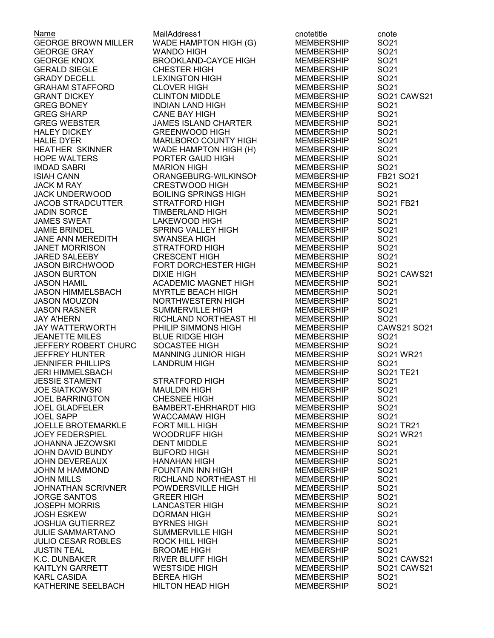| Name                       | MailAddress1                | cnotetitle        | cnote            |
|----------------------------|-----------------------------|-------------------|------------------|
| <b>GEORGE BROWN MILLER</b> | WADE HAMPTON HIGH (G)       | <b>MEMBERSHIP</b> | SO21             |
| <b>GEORGE GRAY</b>         | <b>WANDO HIGH</b>           | <b>MEMBERSHIP</b> | SO21             |
| <b>GEORGE KNOX</b>         | <b>BROOKLAND-CAYCE HIGH</b> | <b>MEMBERSHIP</b> | SO21             |
| <b>GERALD SIEGLE</b>       | <b>CHESTER HIGH</b>         | <b>MEMBERSHIP</b> | SO21             |
| <b>GRADY DECELL</b>        | <b>LEXINGTON HIGH</b>       | <b>MEMBERSHIP</b> | SO21             |
| <b>GRAHAM STAFFORD</b>     | <b>CLOVER HIGH</b>          | <b>MEMBERSHIP</b> | SO21             |
|                            |                             |                   |                  |
| <b>GRANT DICKEY</b>        | <b>CLINTON MIDDLE</b>       | <b>MEMBERSHIP</b> | SO21 CAWS21      |
| <b>GREG BONEY</b>          | INDIAN LAND HIGH            | MEMBERSHIP        | SO <sub>21</sub> |
| <b>GREG SHARP</b>          | <b>CANE BAY HIGH</b>        | <b>MEMBERSHIP</b> | SO21             |
| <b>GREG WEBSTER</b>        | <b>JAMES ISLAND CHARTER</b> | <b>MEMBERSHIP</b> | SO21             |
| <b>HALEY DICKEY</b>        | <b>GREENWOOD HIGH</b>       | <b>MEMBERSHIP</b> | SO21             |
| <b>HALIE DYER</b>          | MARLBORO COUNTY HIGH        | <b>MEMBERSHIP</b> | SO21             |
| <b>HEATHER SKINNER</b>     | WADE HAMPTON HIGH (H)       | <b>MEMBERSHIP</b> | SO21             |
| <b>HOPE WALTERS</b>        | PORTER GAUD HIGH            | <b>MEMBERSHIP</b> | SO21             |
| <b>IMDAD SABRI</b>         | <b>MARION HIGH</b>          | <b>MEMBERSHIP</b> | SO21             |
| <b>ISIAH CANN</b>          | ORANGEBURG-WILKINSON        | MEMBERSHIP        | FB21 SO21        |
| <b>JACK M RAY</b>          | <b>CRESTWOOD HIGH</b>       | <b>MEMBERSHIP</b> | SO <sub>21</sub> |
| <b>JACK UNDERWOOD</b>      | <b>BOILING SPRINGS HIGH</b> | <b>MEMBERSHIP</b> | SO21             |
| <b>JACOB STRADCUTTER</b>   | <b>STRATFORD HIGH</b>       |                   | SO21 FB21        |
|                            |                             | MEMBERSHIP        |                  |
| <b>JADIN SORCE</b>         | <b>TIMBERLAND HIGH</b>      | MEMBERSHIP        | SO21             |
| <b>JAMES SWEAT</b>         | LAKEWOOD HIGH               | MEMBERSHIP        | SO21             |
| <b>JAMIE BRINDEL</b>       | SPRING VALLEY HIGH          | <b>MEMBERSHIP</b> | SO21             |
| <b>JANE ANN MEREDITH</b>   | <b>SWANSEA HIGH</b>         | <b>MEMBERSHIP</b> | SO21             |
| <b>JANET MORRISON</b>      | STRATFORD HIGH              | <b>MEMBERSHIP</b> | SO21             |
| JARED SALEEBY              | <b>CRESCENT HIGH</b>        | <b>MEMBERSHIP</b> | SO21             |
| <b>JASON BIRCHWOOD</b>     | FORT DORCHESTER HIGH        | <b>MEMBERSHIP</b> | SO21             |
| <b>JASON BURTON</b>        | <b>DIXIE HIGH</b>           | <b>MEMBERSHIP</b> | SO21 CAWS21      |
| <b>JASON HAMIL</b>         | <b>ACADEMIC MAGNET HIGH</b> | <b>MEMBERSHIP</b> | SO21             |
| <b>JASON HIMMELSBACH</b>   | <b>MYRTLE BEACH HIGH</b>    | <b>MEMBERSHIP</b> | SO21             |
| <b>JASON MOUZON</b>        | NORTHWESTERN HIGH           | <b>MEMBERSHIP</b> | SO21             |
| <b>JASON RASNER</b>        | <b>SUMMERVILLE HIGH</b>     | <b>MEMBERSHIP</b> | SO21             |
| <b>JAY A'HERN</b>          | RICHLAND NORTHEAST HI       | <b>MEMBERSHIP</b> | SO21             |
| <b>JAY WATTERWORTH</b>     | PHILIP SIMMONS HIGH         | <b>MEMBERSHIP</b> | CAWS21 SO21      |
| <b>JEANETTE MILES</b>      | <b>BLUE RIDGE HIGH</b>      | <b>MEMBERSHIP</b> | SO <sub>21</sub> |
|                            |                             |                   |                  |
| JEFFERY ROBERT CHURCI      | SOCASTEE HIGH               | <b>MEMBERSHIP</b> | SO21             |
| <b>JEFFREY HUNTER</b>      | <b>MANNING JUNIOR HIGH</b>  | <b>MEMBERSHIP</b> | SO21 WR21        |
| <b>JENNIFER PHILLIPS</b>   | <b>LANDRUM HIGH</b>         | <b>MEMBERSHIP</b> | SO21             |
| <b>JERI HIMMELSBACH</b>    |                             | <b>MEMBERSHIP</b> | SO21 TE21        |
| <b>JESSIE STAMENT</b>      | <b>STRATFORD HIGH</b>       | <b>MEMBERSHIP</b> | SO <sub>21</sub> |
| <b>JOE SIATKOWSKI</b>      | <b>MAULDIN HIGH</b>         | <b>MEMBERSHIP</b> | SO <sub>21</sub> |
| <b>JOEL BARRINGTON</b>     | <b>CHESNEE HIGH</b>         | <b>MEMBERSHIP</b> | SO21             |
| <b>JOEL GLADFELER</b>      | <b>BAMBERT-EHRHARDT HIG</b> | <b>MEMBERSHIP</b> | SO21             |
| <b>JOEL SAPP</b>           | <b>WACCAMAW HIGH</b>        | <b>MEMBERSHIP</b> | SO21             |
| <b>JOELLE BROTEMARKLE</b>  | <b>FORT MILL HIGH</b>       | <b>MEMBERSHIP</b> | SO21 TR21        |
| <b>JOEY FEDERSPIEL</b>     | <b>WOODRUFF HIGH</b>        | <b>MEMBERSHIP</b> | SO21 WR21        |
| <b>JOHANNA JEZOWSKI</b>    | <b>DENT MIDDLE</b>          | <b>MEMBERSHIP</b> | SO <sub>21</sub> |
| JOHN DAVID BUNDY           | <b>BUFORD HIGH</b>          | <b>MEMBERSHIP</b> | SO <sub>21</sub> |
| <b>JOHN DEVEREAUX</b>      | <b>HANAHAN HIGH</b>         | <b>MEMBERSHIP</b> | SO21             |
| JOHN M HAMMOND             | <b>FOUNTAIN INN HIGH</b>    | <b>MEMBERSHIP</b> | SO21             |
| <b>JOHN MILLS</b>          | RICHLAND NORTHEAST HI       | <b>MEMBERSHIP</b> | SO21             |
| <b>JOHNATHAN SCRIVNER</b>  | POWDERSVILLE HIGH           | <b>MEMBERSHIP</b> | SO21             |
|                            |                             |                   | SO21             |
| <b>JORGE SANTOS</b>        | <b>GREER HIGH</b>           | <b>MEMBERSHIP</b> |                  |
| <b>JOSEPH MORRIS</b>       | <b>LANCASTER HIGH</b>       | <b>MEMBERSHIP</b> | SO21             |
| <b>JOSH ESKEW</b>          | <b>DORMAN HIGH</b>          | <b>MEMBERSHIP</b> | SO21             |
| <b>JOSHUA GUTIERREZ</b>    | <b>BYRNES HIGH</b>          | <b>MEMBERSHIP</b> | SO21             |
| <b>JULIE SAMMARTANO</b>    | <b>SUMMERVILLE HIGH</b>     | <b>MEMBERSHIP</b> | SO21             |
| <b>JULIO CESAR ROBLES</b>  | ROCK HILL HIGH              | <b>MEMBERSHIP</b> | SO21             |
| <b>JUSTIN TEAL</b>         | <b>BROOME HIGH</b>          | <b>MEMBERSHIP</b> | SO21             |
| K.C. DUNBAKER              | <b>RIVER BLUFF HIGH</b>     | <b>MEMBERSHIP</b> | SO21 CAWS21      |
| KAITLYN GARRETT            | <b>WESTSIDE HIGH</b>        | <b>MEMBERSHIP</b> | SO21 CAWS21      |
| <b>KARL CASIDA</b>         | <b>BEREA HIGH</b>           | <b>MEMBERSHIP</b> | SO <sub>21</sub> |
| KATHERINE SEELBACH         | <b>HILTON HEAD HIGH</b>     | <b>MEMBERSHIP</b> | SO21             |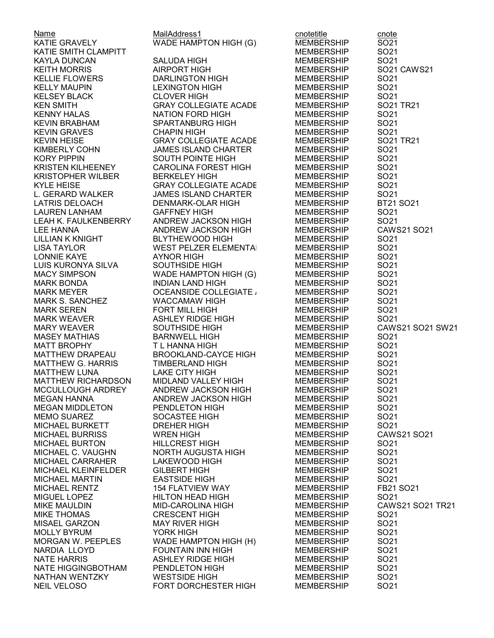KEN SMITH GRAY COLLEGIATE ACADE<br>KENNY HALAS NATION FORD HIGH LATRIS DELOACH DENMARK-OLAR HIGH NATHAN WENTZKY

Name MailAddress1 cnotetitle cnote WADE HAMPTON HIGH (G) MEMBERSHIP SO21 KATIE SMITH CLAMPITT MEMBERSHIP SO21 KAYLA DUNCAN SALUDA HIGH MEMBERSHIP SO21 KELLIE FLOWERS DARLINGTON HIGH MEMBERSHIP SO21 KELLY MAUPIN LEXINGTON HIGH MEMBERSHIP SO21 KELSEY BLACK CLOVER HIGH MEMBERSHIP SO21 NATION FORD HIGH MEMBERSHIP SO21 KEVIN BRABHAM SPARTANBURG HIGH MEMBERSHIP SO21 KEVIN GRAVES CHAPIN HIGH MEMBERSHIP SO21 GRAY COLLEGIATE ACADE KIMBERLY COHN JAMES ISLAND CHARTER MEMBERSHIP SO21 SOUTH POINTE HIGH KRISTEN KILHEENEY CAROLINA FOREST HIGH MEMBERSHIP SO21 KRISTOPHER WILBER BERKELEY HIGH MEMBERSHIP SO21 KYLE HEISE GRAY COLLEGIATE ACADEMY MEMBERSHIP SO21 L. GERARD WALKER JAMES ISLAND CHARTER MEMBERSHIP SO21 LAUREN LANHAM GAFFNEY HIGH MEMBERSHIP SO21 LEE HANNA ANDREW JACKSON HIGH MEMBERSHIP CAWS21 SO21 BLYTHEWOOD HIGH MEMBERSHIP LISA TAYLOR WEST PELZER ELEMENTARY MEMBERSHIP SO21 LONNIE KAYE AYNOR HIGH MEMBERSHIP SO21 LUIS KURONYA SILVA SOUTHSIDE HIGH MEMBERSHIP SO21 WADE HAMPTON HIGH (G) MEMBERSHIP MARK BONDA INDIAN LAND HIGH MEMBERSHIP SO21 MARK MEYER OCEANSIDE COLLEGIATE ACADEMYMEMBERSHIP SO21 MARK S. SANCHEZ WACCAMAW HIGH MEMBERSHIP MARK SEREN FORT MILL HIGH MEMBERSHIP SO21 MARK WEAVER ASHLEY RIDGE HIGH MEMBERSHIP SO21 MASEY MATHIAS BARNWELL HIGH MEMBERSHIP SO21 MATT BROPHY T L HANNA HIGH MEMBERSHIP MATTHEW DRAPEAU BROOKLAND-CAYCE HIGH MEMBERSHIP SO21 MATTHEW G. HARRIS TIMBERLAND HIGH MEMBERSHIP SO21 MATTHEW LUNA LAKE CITY HIGH MEMBERSHIP MATTHEW RICHARDSON MIDLAND VALLEY HIGH MEMBERSHIP SO21 ANDREW JACKSON HIGH MEMBERSHIP SO21<br>ANDREW JACKSON HIGH MEMBERSHIP SO21 MEGAN HANNA ANDREW JACKSON HIGH MEMBERSHIP MEGAN MIDDLETON PENDLETON HIGH MEMBERSHIP SO21 MEMO SUAREZ SOCASTEE HIGH MEMBERSHIP SO21 MICHAEL BURRISS WREN HIGH MEMBERSHIP CAWS21 SO21 MICHAEL BURTON HILLCREST HIGH MEMBERSHIP MICHAEL C. VAUGHN NORTH AUGUSTA HIGH MEMBERSHIP SO21 MICHAEL CARRAHER LAKEWOOD HIGH MEMBERSHIP SO21 MICHAEL KLEINFELDER GILBERT HIGH MEMBERSHIP SO21 MICHAEL MARTIN EASTSIDE HIGH MEMBERSHIP SO21 MICHAEL RENTZ 154 FLATVIEW WAY MEMBERSHIP MIGUEL LOPEZ HILTON HEAD HIGH MEMBERSHIP SO21 MIKE THOMAS **CRESCENT HIGH** MEMBERSHIP SO21 MISAEL GARZON MAY RIVER HIGH MEMBERSHIP SO21 MOLLY BYRUM YORK HIGH MEMBERSHIP SO21 MORGAN W. PEEPLES WADE HAMPTON HIGH (H) MEMBERSHIP NARDIA LLOYD FOUNTAIN INN HIGH MEMBERSHIP SO21 NATE HARRIS ASHLEY RIDGE HIGH MEMBERSHIP SO21 NATE HIGGINGBOTHAM PENDLETON HIGH MEMBERSHIP SO21 NEIL VELOSO FORT DORCHESTER HIGH MEMBERSHIP SO21

KEITH MORRIS AIRPORT HIGH MEMBERSHIP SO21 CAWS21 LEAH K. FAULKENBERRY ANDREW JACKSON HIGH MEMBERSHIP SO21 MARY WEAVER SOUTHSIDE HIGH MEMBERSHIP CAWS21 SO21 SW21 MICHAEL BURKETT DREHER HIGH MEMBERSHIP SO21 MIKE MAULDIN MID-CAROLINA HIGH MEMBERSHIP CAWS21 SO21 TR21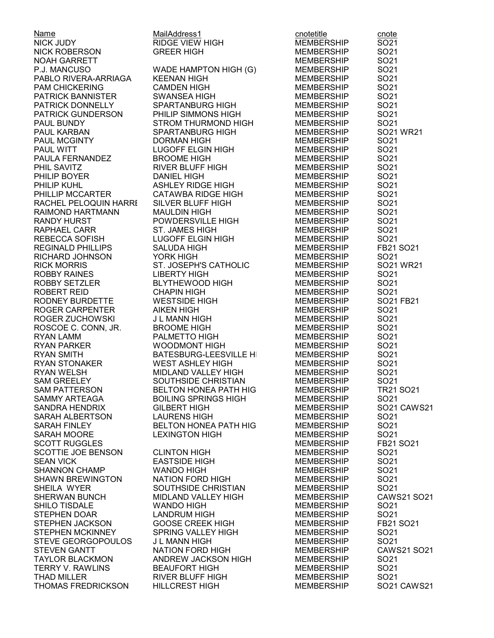|                                                             | MailAddress1                                                           | cnotetitle        | cnote              |
|-------------------------------------------------------------|------------------------------------------------------------------------|-------------------|--------------------|
| <u>Name</u><br>NICK JUDY                                    | <b>RIDGE VIEW HIGH</b>                                                 | MEMBERSHIP        | SO21               |
| NICK ROBERSON                                               | <b>GREER HIGH</b>                                                      | MEMBERSHIP        | SO21               |
| NOAH GARRETT                                                |                                                                        | MEMBERSHIP        | SO21               |
| P.J. MANCUSO                                                | WADE HAMPTON HIGH (G)                                                  | <b>MEMBERSHIP</b> | SO21               |
| PABLO RIVERA-ARRIAGA                                        | <b>KEENAN HIGH</b>                                                     | <b>MEMBERSHIP</b> | SO21               |
| <b>PAM CHICKERING</b>                                       | <b>CAMDEN HIGH</b>                                                     | <b>MEMBERSHIP</b> | SO21               |
| PATRICK BANNISTER                                           | SWANSEA HIGH                                                           | <b>MEMBERSHIP</b> | SO21               |
| PATRICK DONNELLY                                            | SPARTANBURG HIGH                                                       | MEMBERSHIP        | SO21               |
| PATRICK GUNDERSON                                           | PHILIP SIMMONS HIGH                                                    | MEMBERSHIP        | SO21               |
| PAUL BUNDY                                                  | STROM THURMOND HIGH                                                    | <b>MEMBERSHIP</b> | SO21               |
|                                                             | <b>SPARTANBURG HIGH</b>                                                | MEMBERSHIP        | SO21 WR21          |
| PAUL KARBAN<br>PAUL MCGINTY<br>PAUL WITT<br>PAULA FERNANDEZ | <b>DORMAN HIGH</b>                                                     | <b>MEMBERSHIP</b> | SO21               |
|                                                             |                                                                        |                   |                    |
|                                                             | LUGOFF ELGIN HIGH                                                      | <b>MEMBERSHIP</b> | SO21               |
|                                                             | <b>BROOME HIGH</b>                                                     | MEMBERSHIP        | SO21               |
| PHIL SAVITZ                                                 | RIVER BLUFF HIGH                                                       | <b>MEMBERSHIP</b> | SO21               |
| PHILIP BOYER <b>EXAMPLE</b>                                 | <b>DANIEL HIGH</b>                                                     | <b>MEMBERSHIP</b> | SO21               |
| PHILIP KUHL                                                 | ASHLEY RIDGE HIGH<br>CATAWBA RIDGE HIGH                                | <b>MEMBERSHIP</b> | SO21               |
| PHILLIP MCCARTER                                            |                                                                        | MEMBERSHIP        | SO21               |
| RACHEL PELOQUIN HARRI                                       | SILVER BLUFF HIGH                                                      | MEMBERSHIP        | SO21               |
| RAIMOND HARTMANN                                            | <b>MAULDIN HIGH</b>                                                    | MEMBERSHIP        | SO21               |
| <b>RANDY HURST</b>                                          | POWDERSVILLE HIGH                                                      | MEMBERSHIP        | SO21               |
| RAPHAEL CARR                                                | ST. JAMES HIGH                                                         | MEMBERSHIP        | SO21               |
| REBECCA SOFISH                                              | LUGOFF ELGIN HIGH                                                      | MEMBERSHIP        | SO21               |
| <b>REGINALD PHILLIPS</b>                                    | <b>SALUDA HIGH</b>                                                     | MEMBERSHIP        | FB21 SO21          |
| RICHARD JOHNSON                                             | YORK HIGH                                                              | <b>MEMBERSHIP</b> | SO <sub>21</sub>   |
| <b>RICK MORRIS</b>                                          | ST. JOSEPH'S CATHOLIC                                                  | MEMBERSHIP        | SO21 WR21          |
| ROBBY RAINES                                                | <b>LIBERTY HIGH</b>                                                    | <b>MEMBERSHIP</b> | SO <sub>21</sub>   |
| ROBBY SETZLER                                               | <b>BLYTHEWOOD HIGH</b>                                                 | <b>MEMBERSHIP</b> | SO21               |
| ROBERT REID                                                 | <b>CHAPIN HIGH</b>                                                     | MEMBERSHIP        | SO21               |
| RODNEY BURDETTE                                             | <b>WESTSIDE HIGH</b>                                                   | MEMBERSHIP        | SO21 FB21          |
| ROGER CARPENTER                                             | <b>AIKEN HIGH</b>                                                      | <b>MEMBERSHIP</b> | SO21               |
| ROGER ZUCHOWSKI                                             | J L MANN HIGH                                                          | <b>MEMBERSHIP</b> | SO21               |
| ROSCOE C. CONN, JR.                                         | <b>BROOME HIGH</b>                                                     | <b>MEMBERSHIP</b> | SO21               |
| <b>RYAN LAMM</b>                                            | PALMETTO HIGH                                                          | MEMBERSHIP        | SO <sub>21</sub>   |
| RYAN PARKER                                                 | WOODMONT HIGH                                                          | <b>MEMBERSHIP</b> | SO21               |
| <b>RYAN SMITH</b>                                           |                                                                        | <b>MEMBERSHIP</b> | SO21               |
| RYAN SMITH<br>RYAN STONAKER<br>RYAN WELSH                   | BATESBURG-LEESVILLE HI<br>WEST ASHI FY HIGH<br><b>WEST ASHLEY HIGH</b> | <b>MEMBERSHIP</b> | SO21               |
| <b>RYAN WELSH</b>                                           | MIDLAND VALLEY HIGH                                                    | <b>MEMBERSHIP</b> | SO21               |
| <b>SAM GREELEY</b>                                          | SOUTHSIDE CHRISTIAN                                                    | <b>MEMBERSHIP</b> | SO21               |
| SAM PATTERSON                                               | BELTON HONEA PATH HIG                                                  | <b>MEMBERSHIP</b> | <b>TR21 SO21</b>   |
| SAMMY ARTEAGA                                               | <b>BOILING SPRINGS HIGH</b>                                            | <b>MEMBERSHIP</b> | SO <sub>21</sub>   |
| <b>SANDRA HENDRIX</b>                                       | <b>GILBERT HIGH</b>                                                    | <b>MEMBERSHIP</b> | SO21 CAWS21        |
| SARAH ALBERTSON                                             | <b>LAURENS HIGH</b>                                                    | <b>MEMBERSHIP</b> | SO21               |
| SARAH FINLEY                                                | <b>BELTON HONEA PATH HIG</b>                                           | <b>MEMBERSHIP</b> | SO21               |
| SARAH MOORE                                                 | <b>LEXINGTON HIGH</b>                                                  | <b>MEMBERSHIP</b> | SO21               |
| <b>SCOTT RUGGLES</b>                                        |                                                                        |                   | FB21 SO21          |
|                                                             |                                                                        | <b>MEMBERSHIP</b> |                    |
| SCOTTIE JOE BENSON                                          | <b>CLINTON HIGH</b>                                                    | <b>MEMBERSHIP</b> | SO <sub>21</sub>   |
| <b>SEAN VICK</b>                                            | <b>EASTSIDE HIGH</b>                                                   | <b>MEMBERSHIP</b> | SO21               |
| <b>SHANNON CHAMP</b>                                        | <b>WANDO HIGH</b>                                                      | <b>MEMBERSHIP</b> | SO21               |
| <b>SHAWN BREWINGTON</b>                                     | <b>NATION FORD HIGH</b>                                                | <b>MEMBERSHIP</b> | SO21               |
| SHEILA WYER                                                 | SOUTHSIDE CHRISTIAN                                                    | <b>MEMBERSHIP</b> | SO <sub>21</sub>   |
| SHERWAN BUNCH                                               | MIDLAND VALLEY HIGH                                                    | <b>MEMBERSHIP</b> | CAWS21 SO21        |
| SHILO TISDALE                                               | <b>WANDO HIGH</b>                                                      | <b>MEMBERSHIP</b> | SO <sub>21</sub>   |
| STEPHEN DOAR                                                | <b>LANDRUM HIGH</b>                                                    | <b>MEMBERSHIP</b> | SO21               |
| STEPHEN JACKSON                                             | <b>GOOSE CREEK HIGH</b>                                                | <b>MEMBERSHIP</b> | FB21 SO21          |
| <b>STEPHEN MCKINNEY</b>                                     | SPRING VALLEY HIGH                                                     | <b>MEMBERSHIP</b> | SO <sub>21</sub>   |
| STEVE GEORGOPOULOS                                          | J L MANN HIGH                                                          | <b>MEMBERSHIP</b> | SO21               |
| <b>STEVEN GANTT</b>                                         | <b>NATION FORD HIGH</b>                                                | <b>MEMBERSHIP</b> | <b>CAWS21 SO21</b> |
| <b>TAYLOR BLACKMON</b>                                      | ANDREW JACKSON HIGH                                                    | <b>MEMBERSHIP</b> | SO <sub>21</sub>   |
| <b>TERRY V. RAWLINS</b>                                     | <b>BEAUFORT HIGH</b>                                                   | <b>MEMBERSHIP</b> | SO21               |
| <b>THAD MILLER</b>                                          | <b>RIVER BLUFF HIGH</b>                                                | <b>MEMBERSHIP</b> | SO21               |